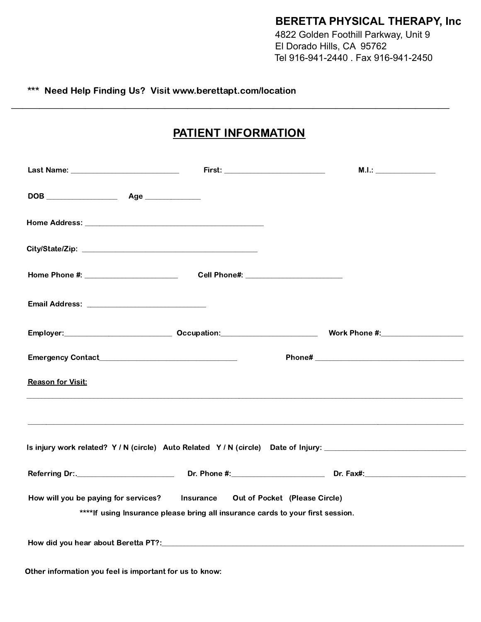## **BERETTA PHYSICAL THERAPY, Inc**

4822 Golden Foothill Parkway, Unit 9 El Dorado Hills, CA 95762 Tel 916-941-2440 . Fax 916-941-2450

## \*\*\* Need Help Finding Us? Visit www.berettapt.com/location

## PATIENT INFORMATION

\_\_\_\_\_\_\_\_\_\_\_\_\_\_\_\_\_\_\_\_\_\_\_\_\_\_\_\_\_\_\_\_\_\_\_\_\_\_\_\_\_\_\_\_\_\_\_\_\_\_\_\_\_\_\_\_\_\_\_\_\_\_\_\_\_\_\_\_\_\_\_\_\_\_\_\_\_

|                                                                                  | M.I.:                                                                                                          |
|----------------------------------------------------------------------------------|----------------------------------------------------------------------------------------------------------------|
|                                                                                  |                                                                                                                |
|                                                                                  |                                                                                                                |
|                                                                                  |                                                                                                                |
| Home Phone #: _________________________  Cell Phone#: __________________________ |                                                                                                                |
|                                                                                  |                                                                                                                |
|                                                                                  |                                                                                                                |
|                                                                                  |                                                                                                                |
| <b>Reason for Visit:</b>                                                         | ,我们也不能在这里的时候,我们也不能在这里的时候,我们也不能不能不能不能不能不能不能不能不能不能不能不能不能不能不能。""我们的是我们的,我们也不能不能不能不能                               |
|                                                                                  |                                                                                                                |
|                                                                                  | Is injury work related? Y / N (circle) Auto Related Y / N (circle) Date of Injury: ___________________________ |
|                                                                                  |                                                                                                                |
| How will you be paying for services? Insurance Out of Pocket (Please Circle)     |                                                                                                                |
| ****If using Insurance please bring all insurance cards to your first session.   |                                                                                                                |
|                                                                                  |                                                                                                                |
| Other information you feel is important for us to know:                          |                                                                                                                |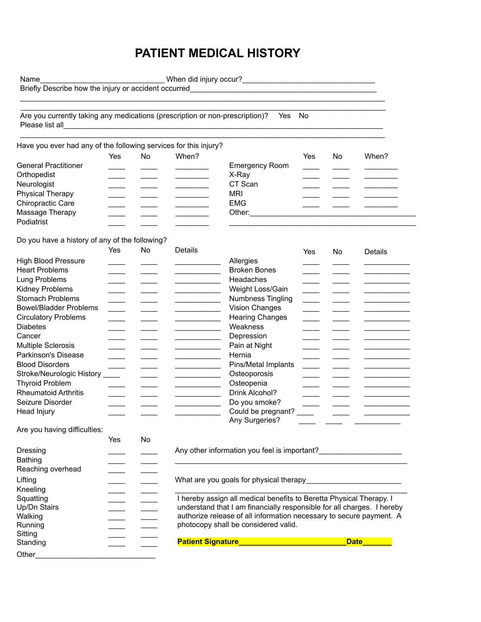## **PATIENT MEDICAL HISTORY**

Name\_\_\_\_\_\_\_\_\_\_\_\_\_\_\_\_\_\_\_\_\_\_\_\_\_\_\_\_\_\_\_\_\_\_When did injury occur?\_\_\_\_\_\_\_\_\_\_\_\_\_\_\_\_\_\_\_\_ Briefly Describe how the injury or accident occurred\_\_\_\_\_\_\_\_\_\_\_\_\_\_\_\_\_\_\_\_\_\_\_\_\_\_\_\_  $\_$  . The contribution of the contribution of the contribution of the contribution of the contribution of the contribution of the contribution of the contribution of the contribution of the contribution of the contributio \_\_\_\_\_\_\_\_\_\_\_\_\_\_\_\_\_\_\_\_\_\_\_\_\_\_\_\_\_\_\_\_\_\_\_\_\_\_\_\_\_\_\_\_\_\_\_\_\_\_\_\_\_\_\_\_\_\_\_\_\_\_\_\_\_\_\_\_\_\_\_\_\_\_\_\_\_\_\_\_\_\_\_\_\_\_\_\_ Are you currently taking any medications (prescription or non-prescription)? Yes No Please list all  $\_$  . The contribution of the contribution of the contribution of the contribution of the contribution of the contribution of the contribution of the contribution of the contribution of the contribution of the contributio Have you ever had any of the following services for this injury? Yes No When? Yes No When? General Practitioner **Emergency Room Emergency Room** Orthopedist \_\_\_\_ \_\_\_\_ \_\_\_\_\_\_\_\_ X-Ray \_\_\_\_ \_\_\_\_ \_\_\_\_\_\_\_\_ Neurologist \_\_\_\_ \_\_\_\_ \_\_\_\_\_\_\_\_ CT Scan \_\_\_\_ \_\_\_\_ \_\_\_\_\_\_\_\_ Physical Therapy \_\_\_\_ \_\_\_ \_\_\_ \_\_ \_\_\_ \_\_ \_\_\_ MRI Chiropractic Care \_\_\_\_ \_\_\_ \_\_\_ \_\_\_ \_\_ \_\_\_ \_\_ EMG Massage Therapy **Example 20** and the Massage Therapy **of the set of the set of the set of the set of the set of the set of the set of the set of the set of the set of the set of the set of the set of the set of the set of** Podiatrist Do you have a history of any of the following? \_\_\_\_\_\_\_\_\_\_\_\_\_\_\_\_\_\_\_\_\_\_\_\_\_\_\_\_\_\_\_\_\_\_\_\_\_\_\_\_\_\_\_\_\_ Yes No Details Yes No Details High Blood Pressure \_\_\_\_ \_\_\_\_ \_\_\_\_\_\_\_\_\_\_\_ Allergies \_\_\_\_ \_\_\_\_ \_\_\_\_\_\_\_\_\_\_\_

| Hiyii Diuuu Piessule          | <b>Allel yies</b>      |
|-------------------------------|------------------------|
| <b>Heart Problems</b>         | <b>Broken Bones</b>    |
| Lung Problems                 | <b>Headaches</b>       |
| Kidney Problems               | Weight Loss/Gain       |
| <b>Stomach Problems</b>       | Numbness Tingling      |
| <b>Bowel/Bladder Problems</b> | Vision Changes         |
| <b>Circulatory Problems</b>   | <b>Hearing Changes</b> |
| <b>Diabetes</b>               | Weakness               |
| Cancer                        | Depression             |
| <b>Multiple Sclerosis</b>     | Pain at Night          |
| Parkinson's Disease           | Hernia                 |
| <b>Blood Disorders</b>        | Pins/Metal Implants    |
| Stroke/Neurologic History     | Osteoporosis           |
| <b>Thyroid Problem</b>        | Osteopenia             |
| <b>Rheumatoid Arthritis</b>   | Drink Alcohol?         |
| Seizure Disorder              | Do you smoke?          |
| Head Injury                   | Could be pregnant?     |
|                               | Any Surgeries?         |
| Are you having difficulties:  |                        |

|                   | Yes | No |                                                                     |                                                                        |
|-------------------|-----|----|---------------------------------------------------------------------|------------------------------------------------------------------------|
| Dressing          |     |    | Any other information you feel is important?                        |                                                                        |
| Bathing           |     |    |                                                                     |                                                                        |
| Reaching overhead |     |    |                                                                     |                                                                        |
| Lifting           |     |    | What are you goals for physical therapy                             |                                                                        |
| Kneeling          |     |    |                                                                     |                                                                        |
| Squatting         |     |    | I hereby assign all medical benefits to Beretta Physical Therapy. I |                                                                        |
| Up/Dn Stairs      |     |    |                                                                     | understand that I am financially responsible for all charges. I hereby |
| Walking           |     |    |                                                                     | authorize release of all information necessary to secure payment. A    |
| Running           |     |    | photocopy shall be considered valid.                                |                                                                        |
| Sitting           |     |    |                                                                     |                                                                        |
| Standing          |     |    | <b>Patient Signature</b>                                            | <b>Date</b>                                                            |
| Other             |     |    |                                                                     |                                                                        |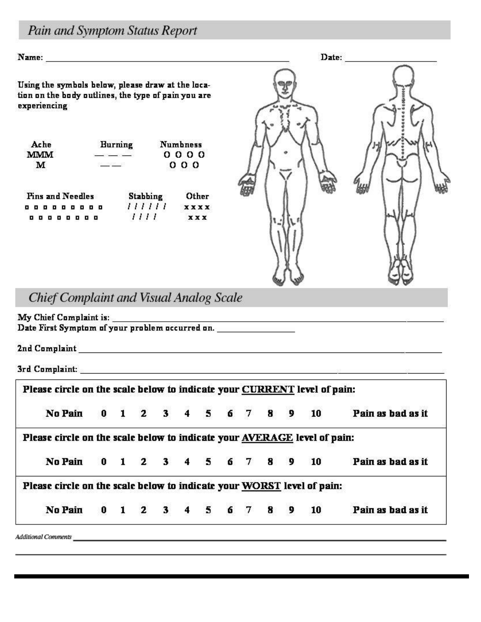# Pain and Symptom Status Report

Using the symbols below, please draw at the location on the body outlines, the type of pain you are experiencing

| Ache       | <b>Burning</b> | <b>Numbness</b> |
|------------|----------------|-----------------|
| <b>MMM</b> |                | 0000            |
| м          |                | 000             |

| <b>Fins and Needles</b> | <b>Stabbing</b> | Other       |
|-------------------------|-----------------|-------------|
| .                       | 111111          | <b>XXXX</b> |
| ,,,,,,,,,               | 1111            | <b>XXX</b>  |



**Chief Complaint and Visual Analog Scale** 

3rd Complaint: And Complaint: And Complaint: And Complaint: And Complaint: And Complaint: And And And And And

| No Pain 0 1 2 3 4 5 6 7 8 9 10                                           |  |  |  |  |  | Pain as bad as it |
|--------------------------------------------------------------------------|--|--|--|--|--|-------------------|
| Please circle on the scale below to indicate your AVERAGE level of pain: |  |  |  |  |  |                   |
| No Pain 0 1 2 3 4 5 6 7 8 9 10                                           |  |  |  |  |  | Pain as bad as it |
| Please circle on the scale below to indicate your WORST level of pain:   |  |  |  |  |  |                   |
| No Pain 0 1 2 3 4 5 6 7 8 9 10                                           |  |  |  |  |  | Pain as bad as it |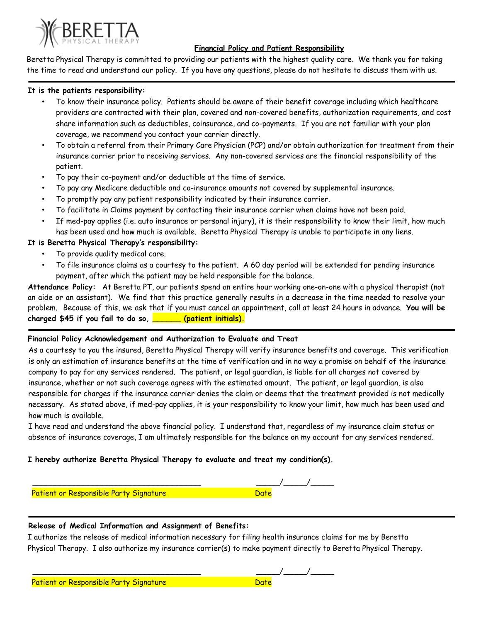

#### **Financial Policy and Patient Responsibility**

Beretta Physical Therapy is committed to providing our patients with the highest quality care. We thank you for taking the time to read and understand our policy. If you have any questions, please do not hesitate to discuss them with us.

#### **It is the patients responsibility:**

- To know their insurance policy. Patients should be aware of their benefit coverage including which healthcare providers are contracted with their plan, covered and non-covered benefits, authorization requirements, and cost share information such as deductibles, coinsurance, and co-payments. If you are not familiar with your plan coverage, we recommend you contact your carrier directly.
- To obtain a referral from their Primary Care Physician (PCP) and/or obtain authorization for treatment from their insurance carrier prior to receiving services. Any non-covered services are the financial responsibility of the patient.
- To pay their co-payment and/or deductible at the time of service.
- To pay any Medicare deductible and co-insurance amounts not covered by supplemental insurance.
- To promptly pay any patient responsibility indicated by their insurance carrier.
- To facilitate in Claims payment by contacting their insurance carrier when claims have not been paid.
- If med-pay applies (i.e. auto insurance or personal injury), it is their responsibility to know their limit, how much has been used and how much is available. Beretta Physical Therapy is unable to participate in any liens.

#### **It is Beretta Physical Therapy's responsibility:**

- To provide quality medical care.
- To file insurance claims as a courtesy to the patient. A 60 day period will be extended for pending insurance payment, after which the patient may be held responsible for the balance.

**Attendance Policy:** At Beretta PT, our patients spend an entire hour working one-on-one with a physical therapist (not an aide or an assistant). We find that this practice generally results in a decrease in the time needed to resolve your problem. Because of this, we ask that if you must cancel an appointment, call at least 24 hours in advance. **You will be charged \$45 if you fail to do so, \_\_\_\_\_\_ (patient initials).**

#### **Financial Policy Acknowledgement and Authorization to Evaluate and Treat**

As a courtesy to you the insured, Beretta Physical Therapy will verify insurance benefits and coverage. This verification is only an estimation of insurance benefits at the time of verification and in no way a promise on behalf of the insurance company to pay for any services rendered. The patient, or legal guardian, is liable for all charges not covered by insurance, whether or not such coverage agrees with the estimated amount. The patient, or legal guardian, is also responsible for charges if the insurance carrier denies the claim or deems that the treatment provided is not medically necessary. As stated above, if med-pay applies, it is your responsibility to know your limit, how much has been used and how much is available.

I have read and understand the above financial policy. I understand that, regardless of my insurance claim status or absence of insurance coverage, I am ultimately responsible for the balance on my account for any services rendered.

### **I hereby authorize Beretta Physical Therapy to evaluate and treat my condition(s).**

| Patient or Responsible Party Signature |  |
|----------------------------------------|--|

#### **Release of Medical Information and Assignment of Benefits:**

I authorize the release of medical information necessary for filing health insurance claims for me by Beretta Physical Therapy. I also authorize my insurance carrier(s) to make payment directly to Beretta Physical Therapy.

| Patient or Responsible Party Signature |  |
|----------------------------------------|--|